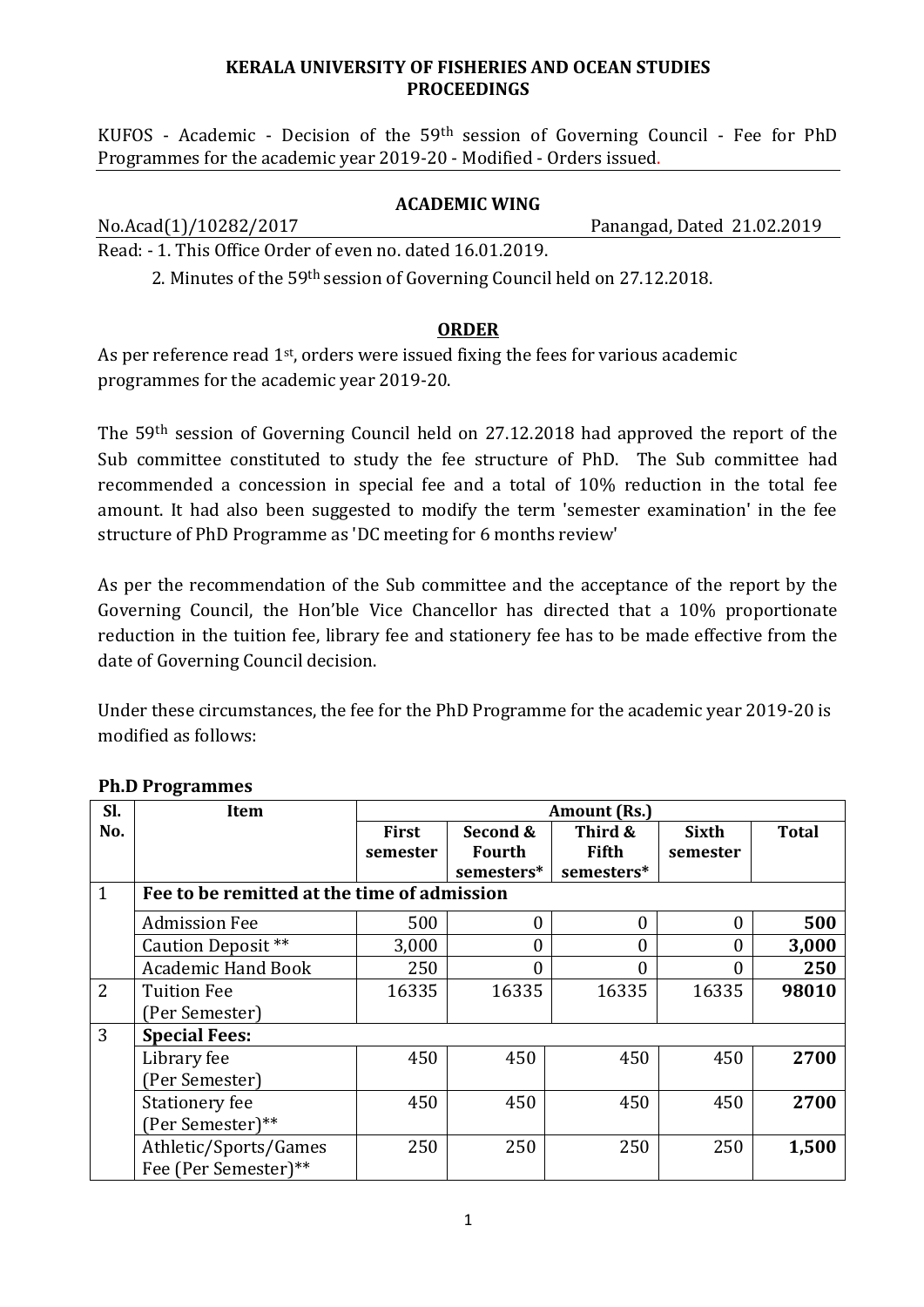## **KERALA UNIVERSITY OF FISHERIES AND OCEAN STUDIES PROCEEDINGS**

KUFOS - Academic - Decision of the 59th session of Governing Council - Fee for PhD Programmes for the academic year 2019-20 - Modified - Orders issued.

## **ACADEMIC WING**

No.Acad(1)/10282/2017 Panangad, Dated 21.02.2019

Read: - 1. This Office Order of even no. dated 16.01.2019.

2. Minutes of the 59th session of Governing Council held on 27.12.2018.

## **ORDER**

As per reference read 1<sup>st</sup>, orders were issued fixing the fees for various academic programmes for the academic year 2019-20.

The 59th session of Governing Council held on 27.12.2018 had approved the report of the Sub committee constituted to study the fee structure of PhD. The Sub committee had recommended a concession in special fee and a total of 10% reduction in the total fee amount. It had also been suggested to modify the term 'semester examination' in the fee structure of PhD Programme as 'DC meeting for 6 months review'

As per the recommendation of the Sub committee and the acceptance of the report by the Governing Council, the Hon'ble Vice Chancellor has directed that a 10% proportionate reduction in the tuition fee, library fee and stationery fee has to be made effective from the date of Governing Council decision.

Under these circumstances, the fee for the PhD Programme for the academic year 2019-20 is modified as follows:

| Sl.            | Item                                        | Amount (Rs.) |                |            |                  |              |  |  |
|----------------|---------------------------------------------|--------------|----------------|------------|------------------|--------------|--|--|
| No.            |                                             | First        | Second &       | Third &    | <b>Sixth</b>     | <b>Total</b> |  |  |
|                |                                             | semester     | <b>Fourth</b>  | Fifth      | semester         |              |  |  |
|                |                                             |              | semesters*     | semesters* |                  |              |  |  |
| $\mathbf{1}$   | Fee to be remitted at the time of admission |              |                |            |                  |              |  |  |
|                | <b>Admission Fee</b>                        | 500          | $\overline{0}$ | 0          | $\boldsymbol{0}$ | 500          |  |  |
|                | Caution Deposit <sup>**</sup>               | 3,000        | $\theta$       | $\theta$   | $\theta$         | 3,000        |  |  |
|                | <b>Academic Hand Book</b>                   | 250          | $\theta$       | 0          | 0                | 250          |  |  |
| $\overline{2}$ | <b>Tuition Fee</b>                          | 16335        | 16335          | 16335      | 16335            | 98010        |  |  |
|                | (Per Semester)                              |              |                |            |                  |              |  |  |
| 3              | <b>Special Fees:</b>                        |              |                |            |                  |              |  |  |
|                | Library fee                                 | 450          | 450            | 450        | 450              | 2700         |  |  |
|                | (Per Semester)                              |              |                |            |                  |              |  |  |
|                | Stationery fee                              | 450          | 450            | 450        | 450              | 2700         |  |  |
|                | (Per Semester)**                            |              |                |            |                  |              |  |  |
|                | Athletic/Sports/Games                       | 250          | 250            | 250        | 250              | 1,500        |  |  |
|                | Fee (Per Semester)**                        |              |                |            |                  |              |  |  |

## **Ph.D Programmes**